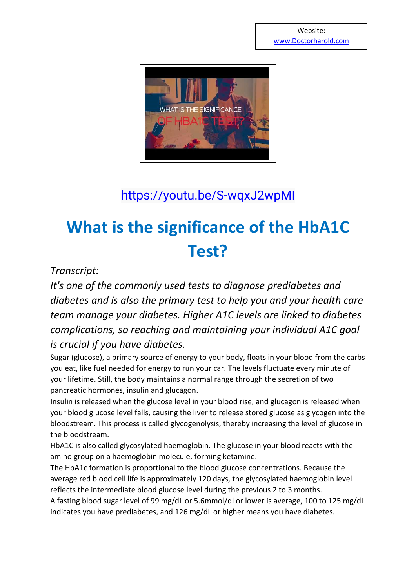

<https://youtu.be/S-wqxJ2wpMI>

## **What is the significance of the HbA1C Test?**

## *Transcript:*

*It's one of the commonly used tests to diagnose prediabetes and diabetes and is also the primary test to help you and your health care team manage your diabetes. Higher A1C levels are linked to diabetes complications, so reaching and maintaining your individual A1C goal is crucial if you have diabetes.*

Sugar (glucose), a primary source of energy to your body, floats in your blood from the carbs you eat, like fuel needed for energy to run your car. The levels fluctuate every minute of your lifetime. Still, the body maintains a normal range through the secretion of two pancreatic hormones, insulin and glucagon.

Insulin is released when the glucose level in your blood rise, and glucagon is released when your blood glucose level falls, causing the liver to release stored glucose as glycogen into the bloodstream. This process is called glycogenolysis, thereby increasing the level of glucose in the bloodstream.

HbA1C is also called glycosylated haemoglobin. The glucose in your blood reacts with the amino group on a haemoglobin molecule, forming ketamine.

The HbA1c formation is proportional to the blood glucose concentrations. Because the average red blood cell life is approximately 120 days, the glycosylated haemoglobin level reflects the intermediate blood glucose level during the previous 2 to 3 months.

A fasting blood sugar level of 99 mg/dL or 5.6mmol/dl or lower is average, 100 to 125 mg/dL indicates you have prediabetes, and 126 mg/dL or higher means you have diabetes.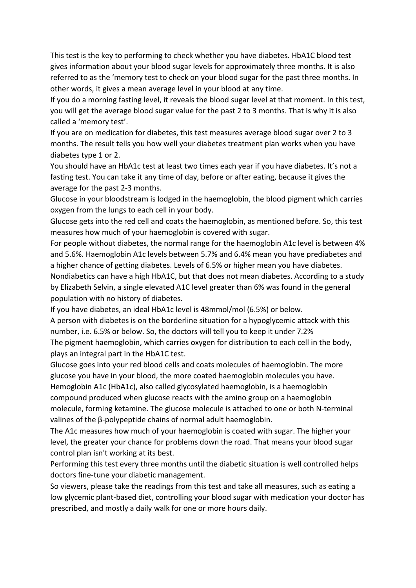This test is the key to performing to check whether you have diabetes. HbA1C blood test gives information about your blood sugar levels for approximately three months. It is also referred to as the 'memory test to check on your blood sugar for the past three months. In other words, it gives a mean average level in your blood at any time.

If you do a morning fasting level, it reveals the blood sugar level at that moment. In this test, you will get the average blood sugar value for the past 2 to 3 months. That is why it is also called a 'memory test'.

If you are on medication for diabetes, this test measures average blood sugar over 2 to 3 months. The result tells you how well your diabetes treatment plan works when you have diabetes type 1 or 2.

You should have an HbA1c test at least two times each year if you have diabetes. It's not a fasting test. You can take it any time of day, before or after eating, because it gives the average for the past 2-3 months.

Glucose in your bloodstream is lodged in the haemoglobin, the blood pigment which carries oxygen from the lungs to each cell in your body.

Glucose gets into the red cell and coats the haemoglobin, as mentioned before. So, this test measures how much of your haemoglobin is covered with sugar.

For people without diabetes, the normal range for the haemoglobin A1c level is between 4% and 5.6%. Haemoglobin A1c levels between 5.7% and 6.4% mean you have prediabetes and a higher chance of getting diabetes. Levels of 6.5% or higher mean you have diabetes. Nondiabetics can have a high HbA1C, but that does not mean diabetes. According to a study by Elizabeth Selvin, a single elevated A1C level greater than 6% was found in the general population with no history of diabetes.

If you have diabetes, an ideal HbA1c level is 48mmol/mol (6.5%) or below.

A person with diabetes is on the borderline situation for a hypoglycemic attack with this number, i.e. 6.5% or below. So, the doctors will tell you to keep it under 7.2% The pigment haemoglobin, which carries oxygen for distribution to each cell in the body, plays an integral part in the HbA1C test.

Glucose goes into your red blood cells and coats molecules of haemoglobin. The more glucose you have in your blood, the more coated haemoglobin molecules you have. Hemoglobin A1c (HbA1c), also called glycosylated haemoglobin, is a haemoglobin compound produced when glucose reacts with the amino group on a haemoglobin molecule, forming ketamine. The glucose molecule is attached to one or both N-terminal valines of the β-polypeptide chains of normal adult haemoglobin.

The A1c measures how much of your haemoglobin is coated with sugar. The higher your level, the greater your chance for problems down the road. That means your blood sugar control plan isn't working at its best.

Performing this test every three months until the diabetic situation is well controlled helps doctors fine-tune your diabetic management.

So viewers, please take the readings from this test and take all measures, such as eating a low glycemic plant-based diet, controlling your blood sugar with medication your doctor has prescribed, and mostly a daily walk for one or more hours daily.